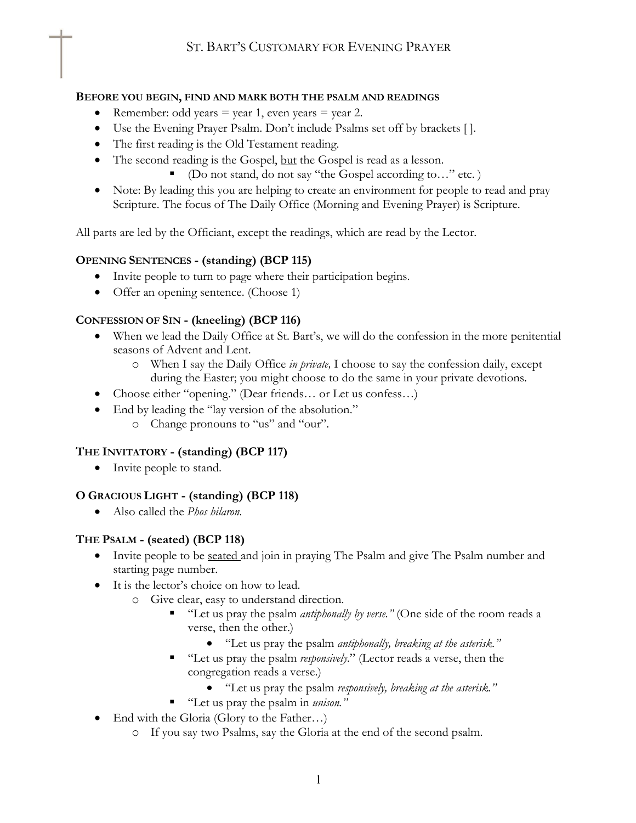#### **BEFORE YOU BEGIN, FIND AND MARK BOTH THE PSALM AND READINGS**

- Remember: odd years  $=$  year 1, even years  $=$  year 2.
- Use the Evening Prayer Psalm. Don't include Psalms set off by brackets [ ].
- The first reading is the Old Testament reading.
- The second reading is the Gospel, but the Gospel is read as a lesson.
	- § (Do not stand, do not say "the Gospel according to…" etc. )
- Note: By leading this you are helping to create an environment for people to read and pray Scripture. The focus of The Daily Office (Morning and Evening Prayer) is Scripture.

All parts are led by the Officiant, except the readings, which are read by the Lector.

### **OPENING SENTENCES - (standing) (BCP 115)**

- Invite people to turn to page where their participation begins.
- Offer an opening sentence. (Choose 1)

### **CONFESSION OF SIN - (kneeling) (BCP 116)**

- When we lead the Daily Office at St. Bart's, we will do the confession in the more penitential seasons of Advent and Lent.
	- o When I say the Daily Office *in private,* I choose to say the confession daily, except during the Easter; you might choose to do the same in your private devotions.
- Choose either "opening." (Dear friends… or Let us confess…)
- End by leading the "lay version of the absolution." o Change pronouns to "us" and "our".

# **THE INVITATORY - (standing) (BCP 117)**

• Invite people to stand.

### **O GRACIOUS LIGHT - (standing) (BCP 118)**

• Also called the *Phos hilaron.*

### **THE PSALM - (seated) (BCP 118)**

- Invite people to be <u>seated</u> and join in praying The Psalm and give The Psalm number and starting page number.
- It is the lector's choice on how to lead.
	- o Give clear, easy to understand direction.
		- "Let us pray the psalm *antiphonally by verse*." (One side of the room reads a verse, then the other.)
			- "Let us pray the psalm *antiphonally, breaking at the asterisk."*
		- "Let us pray the psalm *responsively*." (Lector reads a verse, then the congregation reads a verse.)
			- "Let us pray the psalm *responsively, breaking at the asterisk."*
		- "Let us pray the psalm in *unison*."
- End with the Gloria (Glory to the Father...)
	- o If you say two Psalms, say the Gloria at the end of the second psalm.